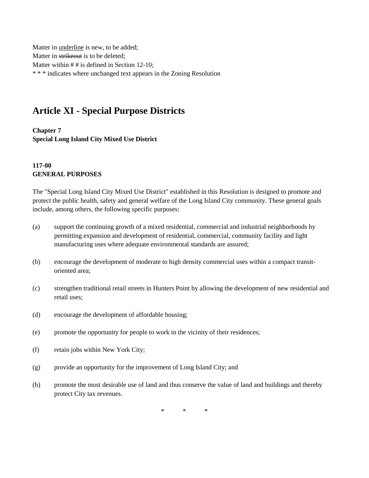Matter in underline is new, to be added; Matter in strikeout is to be deleted; Matter within # # is defined in Section 12-10; \* \* \* indicates where unchanged text appears in the Zoning Resolution

# **Article XI - Special Purpose Districts**

**Chapter 7 Special Long Island City Mixed Use District**

#### **117-00 GENERAL PURPOSES**

The "Special Long Island City Mixed Use District" established in this Resolution is designed to promote and protect the public health, safety and general welfare of the Long Island City community. These general goals include, among others, the following specific purposes:

- (a) support the continuing growth of a mixed residential, commercial and industrial neighborhoods by permitting expansion and development of residential, commercial, community facility and light manufacturing uses where adequate environmental standards are assured;
- (b) encourage the development of moderate to high density commercial uses within a compact transitoriented area;
- (c) strengthen traditional retail streets in Hunters Point by allowing the development of new residential and retail uses;
- (d) encourage the development of affordable housing;
- (e) promote the opportunity for people to work in the vicinity of their residences;
- (f) retain jobs within New York City;
- (g) provide an opportunity for the improvement of Long Island City; and
- (h) promote the most desirable use of land and thus conserve the value of land and buildings and thereby protect City tax revenues.

\* \* \*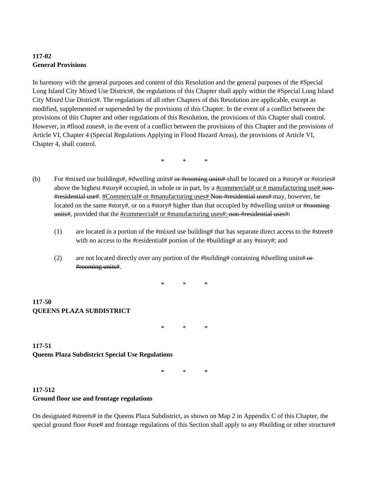# **117-02 General Provisions**

In harmony with the general purposes and content of this Resolution and the general purposes of the #Special Long Island City Mixed Use District#, the regulations of this Chapter shall apply within the #Special Long Island City Mixed Use District#. The regulations of all other Chapters of this Resolution are applicable, except as modified, supplemented or superseded by the provisions of this Chapter. In the event of a conflict between the provisions of this Chapter and other regulations of this Resolution, the provisions of this Chapter shall control. However, in #flood zones#, in the event of a conflict between the provisions of this Chapter and the provisions of Article VI, Chapter 4 (Special Regulations Applying in Flood Hazard Areas), the provisions of Article VI, Chapter 4, shall control.

\* \* \*

- (b) For #mixed use buildings#, #dwelling units# or #rooming units# shall be located on a #story# or #stories# above the highest #story# occupied, in whole or in part, by a #commercial# or # manufacturing use# non-#residential use#. #Commercial# or #manufacturing uses# Non-#residential uses# may, however, be located on the same #story#, or on a #story# higher than that occupied by #dwelling units# or #rooming units#, provided that the #commercial# or #manufacturing uses#: non-#residential uses#:
	- (1) are located in a portion of the #mixed use building# that has separate direct access to the #street# with no access to the #residential# portion of the #building# at any #story#; and
	- (2) are not located directly over any portion of the #building# containing #dwelling units# $-$ or-#rooming units#.

\* \* \*

## **117-50 QUEENS PLAZA SUBDISTRICT**

\* \* \*

# **117-51 Queens Plaza Subdistrict Special Use Regulations**

\* \* \*

## **117-512 Ground floor use and frontage regulations**

On designated #streets# in the Queens Plaza Subdistrict, as shown on Map 2 in Appendix C of this Chapter, the special ground floor #use# and frontage regulations of this Section shall apply to any #building or other structure#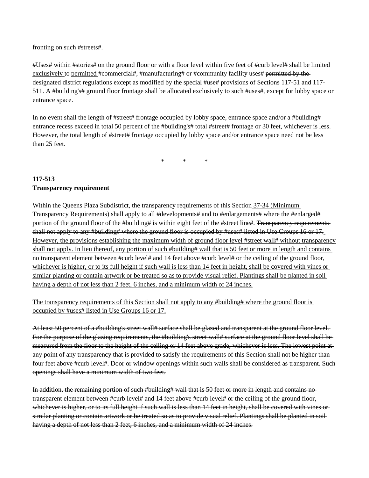fronting on such #streets#.

#Uses# within #stories# on the ground floor or with a floor level within five feet of #curb level# shall be limited exclusively to permitted #commercial#, #manufacturing# or #community facility uses# permitted by the designated district regulations except as modified by the special #use# provisions of Sections 117-51 and 117- 511. A #building's# ground floor frontage shall be allocated exclusively to such #uses#, except for lobby space or entrance space.

In no event shall the length of #street# frontage occupied by lobby space, entrance space and/or a #building# entrance recess exceed in total 50 percent of the #building's# total #street# frontage or 30 feet, whichever is less. However, the total length of #street# frontage occupied by lobby space and/or entrance space need not be less than 25 feet.

\* \* \*

#### **117-513 Transparency requirement**

Within the Queens Plaza Subdistrict, the transparency requirements of this Section 37-34 (Minimum Transparency Requirements) shall apply to all #developments# and to #enlargements# where the #enlarged# portion of the ground floor of the #building# is within eight feet of the #street line#. Transparency requirements shall not apply to any #building# where the ground floor is occupied by #uses# listed in Use Groups 16 or 17. However, the provisions establishing the maximum width of ground floor level #street wall# without transparency shall not apply. In lieu thereof, any portion of such #building# wall that is 50 feet or more in length and contains no transparent element between #curb level# and 14 feet above #curb level# or the ceiling of the ground floor, whichever is higher, or to its full height if such wall is less than 14 feet in height, shall be covered with vines or similar planting or contain artwork or be treated so as to provide visual relief. Plantings shall be planted in soil having a depth of not less than 2 feet, 6 inches, and a minimum width of 24 inches.

The transparency requirements of this Section shall not apply to any #building# where the ground floor is occupied by #uses# listed in Use Groups 16 or 17.

At least 50 percent of a #building's street wall# surface shall be glazed and transparent at the ground floor level. For the purpose of the glazing requirements, the #building's street wall# surface at the ground floor level shall be measured from the floor to the height of the ceiling or 14 feet above grade, whichever is less. The lowest point at any point of any transparency that is provided to satisfy the requirements of this Section shall not be higher than four feet above #curb level#. Door or window openings within such walls shall be considered as transparent. Such openings shall have a minimum width of two feet.

In addition, the remaining portion of such #building# wall that is 50 feet or more in length and contains no transparent element between #curb level# and 14 feet above #curb level# or the ceiling of the ground floor, whichever is higher, or to its full height if such wall is less than 14 feet in height, shall be covered with vines or similar planting or contain artwork or be treated so as to provide visual relief. Plantings shall be planted in soil having a depth of not less than 2 feet, 6 inches, and a minimum width of 24 inches.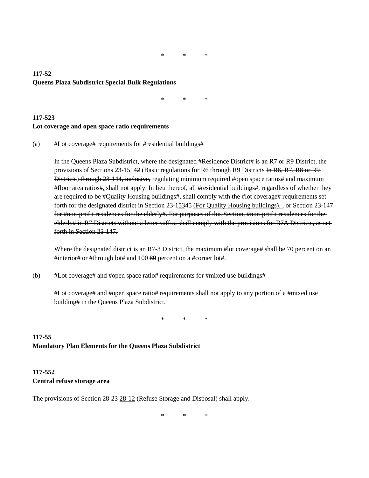\* \* \*

#### **117-52 Queens Plaza Subdistrict Special Bulk Regulations**

\* \* \*

#### **117-523 Lot coverage and open space ratio requirements**

(a) #Lot coverage# requirements for #residential buildings#

In the Queens Plaza Subdistrict, where the designated #Residence District# is an R7 or R9 District, the provisions of Sections 23-15142 (Basic regulations for R6 through R9 Districts In R6, R7, R8 or R9 Districts) through 23-144, inclusive, regulating minimum required #open space ratios# and maximum #floor area ratios#, shall not apply. In lieu thereof, all #residential buildings#, regardless of whether they are required to be #Quality Housing buildings#, shall comply with the #lot coverage# requirements set forth for the designated district in Section 23-15345 (For Quality Housing buildings). <del>, or Section 23-147</del> for #non-profit residences for the elderly#. For purposes of this Section, #non-profit residences for the elderly# in R7 Districts without a letter suffix, shall comply with the provisions for R7A Districts, as set forth in Section 23-147.

Where the designated district is an R7-3 District, the maximum #lot coverage# shall be 70 percent on an #interior# or #through lot# and 100 80 percent on a #corner lot#.

(b)  $#$ Lot coverage# and #open space ratio# requirements for #mixed use buildings#

#Lot coverage# and #open space ratio# requirements shall not apply to any portion of a #mixed use building# in the Queens Plaza Subdistrict.

\* \* \*

# **117-55 Mandatory Plan Elements for the Queens Plaza Subdistrict**

#### **117-552 Central refuse storage area**

The provisions of Section 28-23-28-12 (Refuse Storage and Disposal) shall apply.

\* \* \*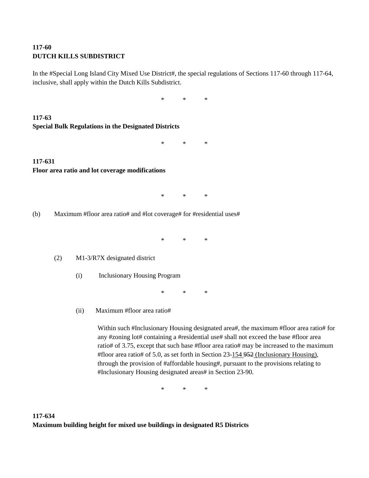### **117-60 DUTCH KILLS SUBDISTRICT**

In the #Special Long Island City Mixed Use District#, the special regulations of Sections 117-60 through 117-64, inclusive, shall apply within the Dutch Kills Subdistrict.

\* \* \*

**117-63 Special Bulk Regulations in the Designated Districts**

\* \* \*

#### **117-631 Floor area ratio and lot coverage modifications**

\* \* \*

(b) Maximum #floor area ratio# and #lot coverage# for #residential uses#

\* \* \*

(2) M1-3/R7X designated district

(i) Inclusionary Housing Program

\* \* \*

(ii) Maximum #floor area ratio#

Within such #Inclusionary Housing designated area#, the maximum #floor area ratio# for any #zoning lot# containing a #residential use# shall not exceed the base #floor area ratio# of 3.75, except that such base #floor area ratio# may be increased to the maximum #floor area ratio# of 5.0, as set forth in Section 23-154 952 (Inclusionary Housing), through the provision of #affordable housing#, pursuant to the provisions relating to #Inclusionary Housing designated areas# in Section 23-90.

\* \* \*

## **117-634 Maximum building height for mixed use buildings in designated R5 Districts**